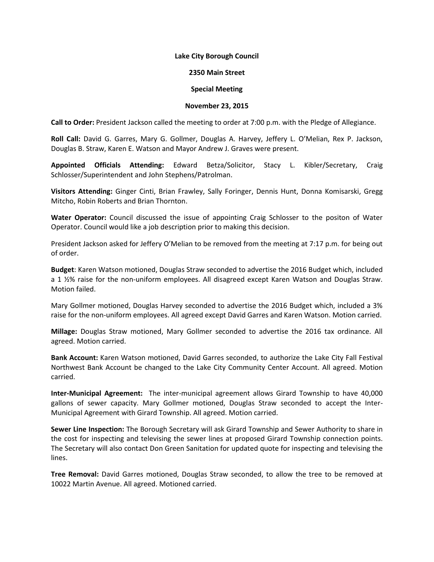## **Lake City Borough Council**

## **2350 Main Street**

## **Special Meeting**

## **November 23, 2015**

**Call to Order:** President Jackson called the meeting to order at 7:00 p.m. with the Pledge of Allegiance.

**Roll Call:** David G. Garres, Mary G. Gollmer, Douglas A. Harvey, Jeffery L. O'Melian, Rex P. Jackson, Douglas B. Straw, Karen E. Watson and Mayor Andrew J. Graves were present.

**Appointed Officials Attending:** Edward Betza/Solicitor, Stacy L. Kibler/Secretary, Craig Schlosser/Superintendent and John Stephens/Patrolman.

**Visitors Attending:** Ginger Cinti, Brian Frawley, Sally Foringer, Dennis Hunt, Donna Komisarski, Gregg Mitcho, Robin Roberts and Brian Thornton.

**Water Operator:** Council discussed the issue of appointing Craig Schlosser to the positon of Water Operator. Council would like a job description prior to making this decision.

President Jackson asked for Jeffery O'Melian to be removed from the meeting at 7:17 p.m. for being out of order.

**Budget**: Karen Watson motioned, Douglas Straw seconded to advertise the 2016 Budget which, included a 1 ½% raise for the non-uniform employees. All disagreed except Karen Watson and Douglas Straw. Motion failed.

Mary Gollmer motioned, Douglas Harvey seconded to advertise the 2016 Budget which, included a 3% raise for the non-uniform employees. All agreed except David Garres and Karen Watson. Motion carried.

**Millage:** Douglas Straw motioned, Mary Gollmer seconded to advertise the 2016 tax ordinance. All agreed. Motion carried.

**Bank Account:** Karen Watson motioned, David Garres seconded, to authorize the Lake City Fall Festival Northwest Bank Account be changed to the Lake City Community Center Account. All agreed. Motion carried.

**Inter-Municipal Agreement:** The inter-municipal agreement allows Girard Township to have 40,000 gallons of sewer capacity. Mary Gollmer motioned, Douglas Straw seconded to accept the Inter-Municipal Agreement with Girard Township. All agreed. Motion carried.

**Sewer Line Inspection:** The Borough Secretary will ask Girard Township and Sewer Authority to share in the cost for inspecting and televising the sewer lines at proposed Girard Township connection points. The Secretary will also contact Don Green Sanitation for updated quote for inspecting and televising the lines.

**Tree Removal:** David Garres motioned, Douglas Straw seconded, to allow the tree to be removed at 10022 Martin Avenue. All agreed. Motioned carried.